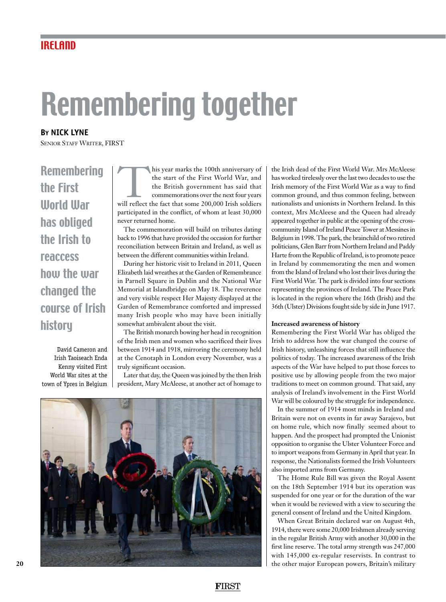## IRELAND

## Remembering together

**By NICK LYNE** SENIOR STAFF WRITER, FIRST

Remembering the First World War has obliged the Irish to reaccess how the war changed the course of Irish history

David Cameron and Irish Taoiseach Enda Kenny visited First World War sites at the town of Ypres in Belgium

This year marks the 100th anniversary of the start of the First World War, and the British government has said that commemorations over the next four years will reflect the fact that some 200,000 Irish soldiers the start of the First World War, and the British government has said that commemorations over the next four years participated in the conflict, of whom at least 30,000 never returned home.

The commemoration will build on tributes dating back to 1996 that have provided the occasion for further reconciliation between Britain and Ireland, as well as between the different communities within Ireland.

During her historic visit to Ireland in 2011, Queen Elizabeth laid wreathes at the Garden of Remembrance in Parnell Square in Dublin and the National War Memorial at Islandbridge on May 18. The reverence and very visible respect Her Majesty displayed at the Garden of Remembrance comforted and impressed many Irish people who may have been initially somewhat ambivalent about the visit.

The British monarch bowing her head in recognition of the Irish men and women who sacrificed their lives between 1914 and 1918, mirroring the ceremony held at the Cenotaph in London every November, was a truly significant occasion.

Later that day, the Queen was joined by the then Irish president, Mary McAleese, at another act of homage to



the Irish dead of the First World War. Mrs McAleese has worked tirelessly over the last two decades to use the Irish memory of the First World War as a way to find common ground, and thus common feeling, between nationalists and unionists in Northern Ireland. In this context, Mrs McAleese and the Queen had already appeared together in public at the opening of the crosscommunity Island of Ireland Peace Tower at Messines in Belgium in 1998. The park, the brainchild of two retired politicians, Glen Barr from Northern Ireland and Paddy Harte from the Republic of Ireland, is to promote peace in Ireland by commemorating the men and women from the Island of Ireland who lost their lives during the First World War. The park is divided into four sections representing the provinces of Ireland. The Peace Park is located in the region where the 16th (Irish) and the 36th (Ulster) Divisions fought side by side in June 1917.

## **Increased awareness of history**

Remembering the First World War has obliged the Irish to address how the war changed the course of Irish history, unleashing forces that still influence the politics of today. The increased awareness of the Irish aspects of the War have helped to put those forces to positive use by allowing people from the two major traditions to meet on common ground. That said, any analysis of Ireland's involvement in the First World War will be coloured by the struggle for independence.

In the summer of 1914 most minds in Ireland and Britain were not on events in far away Sarajevo, but on home rule, which now finally seemed about to happen. And the prospect had prompted the Unionist opposition to organise the Ulster Volunteer Force and to import weapons from Germany in April that year. In response, the Nationalists formed the Irish Volunteers also imported arms from Germany.

The Home Rule Bill was given the Royal Assent on the 18th September 1914 but its operation was suspended for one year or for the duration of the war when it would be reviewed with a view to securing the general consent of Ireland and the United Kingdom.

When Great Britain declared war on August 4th, 1914, there were some 20,000 Irishmen already serving in the regular British Army with another 30,000 in the first line reserve. The total army strength was 247,000 with 145,000 ex-regular reservists. In contrast to the other major European powers, Britain's military